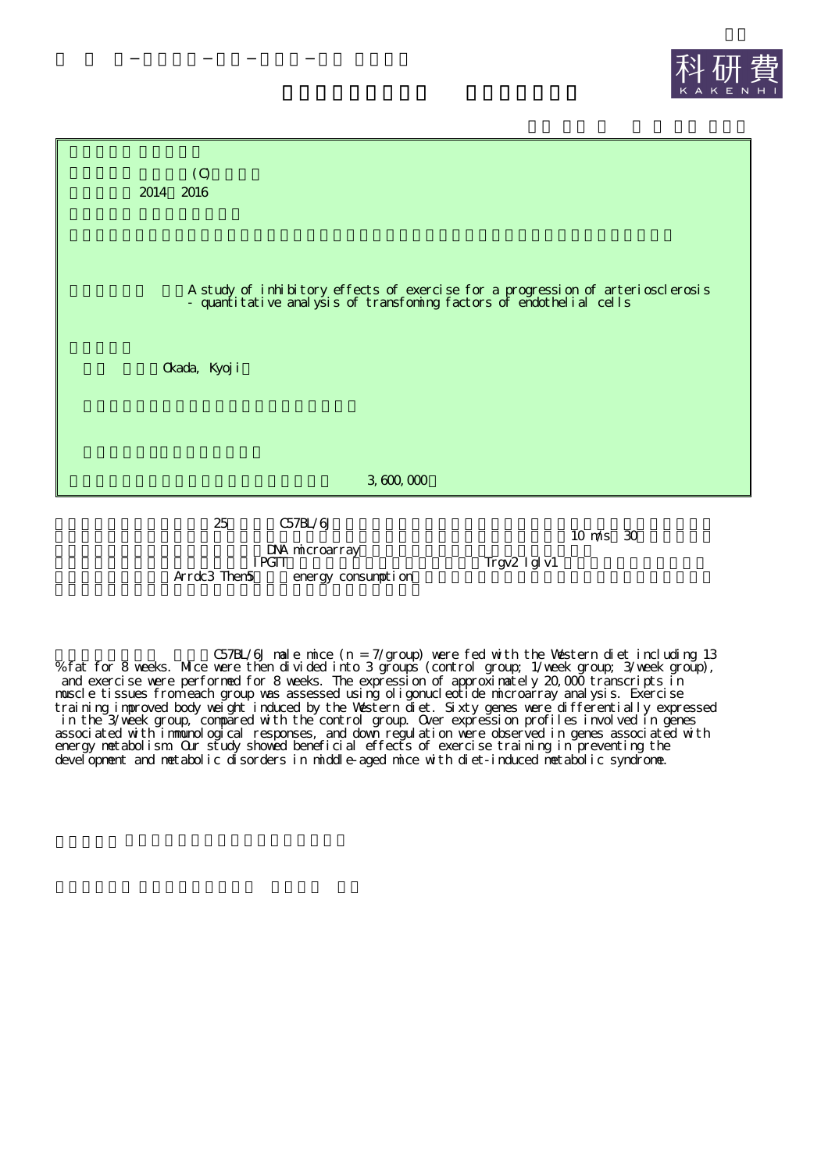



DNA microarray Arrdc3 Them5 energy consumption 10 m/s 30

Trgv2 Iglv1

C57BL/6J male mice (n = 7/group) were fed with the Western diet including 13 % fat for 8 weeks. Mice were then divided into 3 groups (control group; 1/week group; 3/week group), and exercise were performed for 8 weeks. The expression of approximately 20,000 transcripts in muscle tissues from each group was assessed using oligonucleotide microarray analysis. Exercise training improved body weight induced by the Western diet. Sixty genes were differentially expressed in the 3/week group, compared with the control group. Over expression profiles involved in genes associated with immunological responses, and down regulation were observed in genes associated with energy metabolism. Our study showed beneficial effects of exercise training in preventing the development and metabolic disorders in middle-aged mice with diet-induced metabolic syndrome.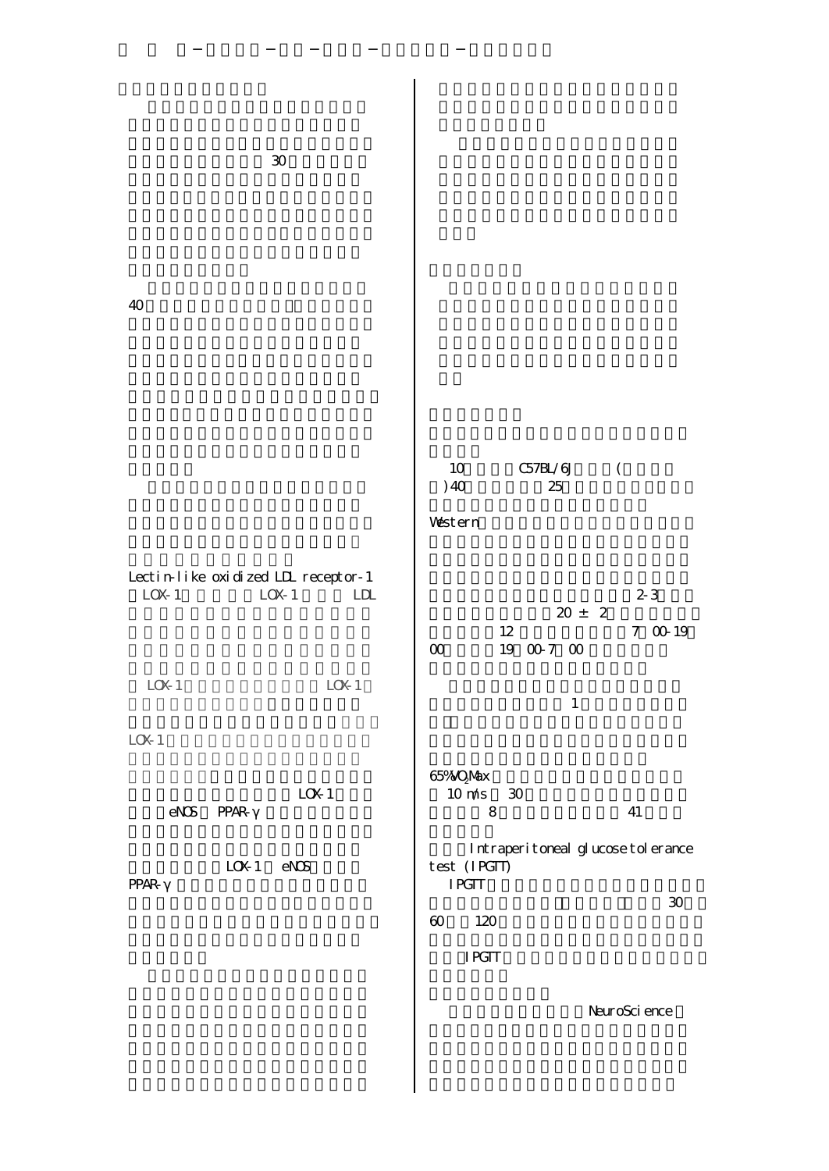| 40                                                                                                                             |                                                                                                                                  |
|--------------------------------------------------------------------------------------------------------------------------------|----------------------------------------------------------------------------------------------------------------------------------|
|                                                                                                                                | 10<br>C57BL/6J<br>$\overline{(\ }$<br>)40<br>25<br>Western                                                                       |
| Lectin-like oxidized LIL receptor-1<br>LOK <sub>1</sub><br>LOK <sub>1</sub><br>LDL<br>L(X <sub>1</sub> )<br>L(X <sub>1</sub> ) | $2-3$<br>$20 \pm 2$<br>$7\;$ 00 19 $\;$<br>12<br>19 00 7 00<br>$\infty$                                                          |
| LOK1<br>L(X <sub>1</sub> )                                                                                                     | $\mathbf{1}$<br>65% OMX<br>$10 \text{ m/s}$<br>30                                                                                |
| $eN\mathcal{S}$<br><b>PPAR-</b><br>L(X <sub>1</sub> )<br>$e\mathbf{X}\mathbf{S}$<br><b>PPAR-</b>                               | $\bf 8$<br>41<br>Intraperitoreal glucose tolerance<br>test (IPGIT)<br><b>IPGIT</b><br>$\pmb{30}$<br>$\boldsymbol{\omega}$<br>120 |
|                                                                                                                                | <b>IRGIT</b><br>NeuroSci ence                                                                                                    |

 $\overline{\phantom{a}}$ 

30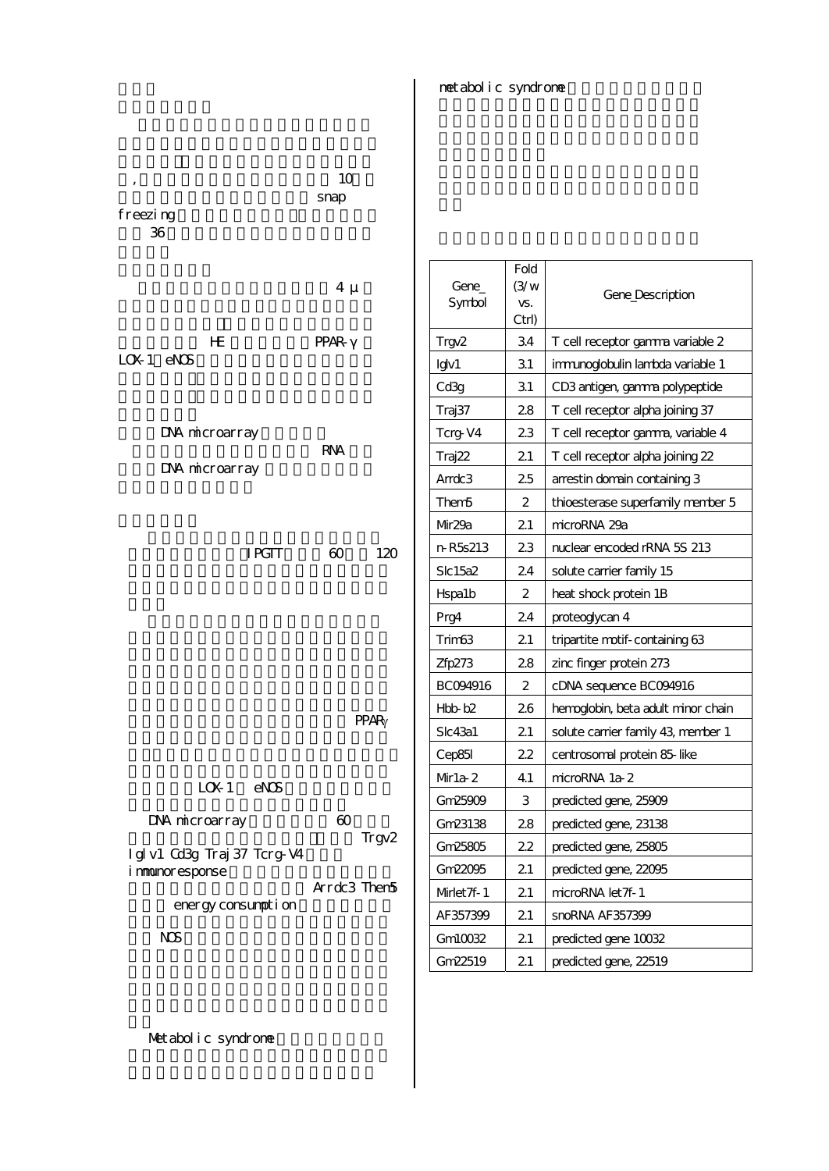metabolic syndrome

| ,<br>freezing<br>36                           | 10<br>snap                     |                     |                               |                                    |
|-----------------------------------------------|--------------------------------|---------------------|-------------------------------|------------------------------------|
|                                               | $4 \mu$                        | Gene<br>Symbol      | Fold<br>(3/w)<br>VS.<br>Ctrl) | Gene_Description                   |
| HE                                            | <b>PPAR-</b>                   | Trgy2               | 34                            | T cell receptor gamma variable 2   |
| $L(X1)$ eN $S$                                |                                | Igv1                | 31                            | immunoglobulin lambda variable 1   |
|                                               |                                | Cd3g                | 31                            | CD3 antigen, gamma polypeptide     |
|                                               |                                | Traj37              | 28                            | T cell receptor alpha joining 37   |
| DNA microarray                                |                                | Tcrg-V4             | 23                            | T cell receptor gamma, variable 4  |
| DNA microarray                                | <b>RNA</b>                     | Traj22              | 21                            | T cell receptor alpha joining 22   |
|                                               |                                | Arrdc <sub>3</sub>  | 25                            | arrestin domain containing 3       |
|                                               |                                | Them5               | $\boldsymbol{2}$              | thioesterase superfamily member 5  |
|                                               |                                | Mr29a               | 21                            | microRNA 29a                       |
| <b>IPGIT</b>                                  | $\boldsymbol{\omega}$<br>120   | n R5s213            | 23                            | nuclear encoded rRNA 5S 213        |
|                                               |                                | Slc15a2             | 24                            | solute carrier family 15           |
|                                               |                                | H <sub>spa1</sub> b | 2                             | heat shock protein 1B              |
|                                               |                                | Prg4                | 24                            | proteoglycan 4                     |
|                                               |                                | Trim63              | 21                            | tripartite motif-containing 63     |
|                                               |                                | Zfp273              | 28                            | zinc finger protein 273            |
|                                               |                                | BC094916            | 2                             | cDNA sequence BC094916             |
|                                               | <b>PPAR</b>                    | Hbb b2              | 26                            | hemoglobin, beta adult minor chain |
|                                               |                                | Slc43a1             | 21                            | solute carrier family 43, member 1 |
|                                               |                                | Cep85l              | 22                            | centrosomal protein 85-like        |
| $e\mathbf{X}\mathbf{S}$<br>L(X <sub>1</sub> ) |                                | $Mr1a-2$            | 41                            | microRNA 1a-2                      |
|                                               |                                | Gm25909             | 3                             | predicted gene, 25009              |
| DNA microarray                                | $\boldsymbol{\omega}$<br>Trgv2 | Gm23138             | 28                            | predicted gene, 23138              |
| Igl v1 Cd3g Traj 37 Tcrg-V4                   |                                | Gm25805             | 22                            | predicted gene, 25805              |
| immunoresponse                                |                                | Gm22095             | 21                            | predicted gene, 22095              |
| energy consumpt i on                          | Arrdc3 Then5                   | Mrlet 7f-1          | 21                            | microRNA let7f-1                   |
|                                               |                                | AF357399            | 21                            | snoRNA AF357399                    |
| $N\mathcal{S}$                                |                                | Gml0032             | 21                            | predicted gene 10032               |
|                                               |                                | Gm22519             | 21                            | predicted gene, 22519              |
|                                               |                                |                     |                               |                                    |

Metabolic syndrome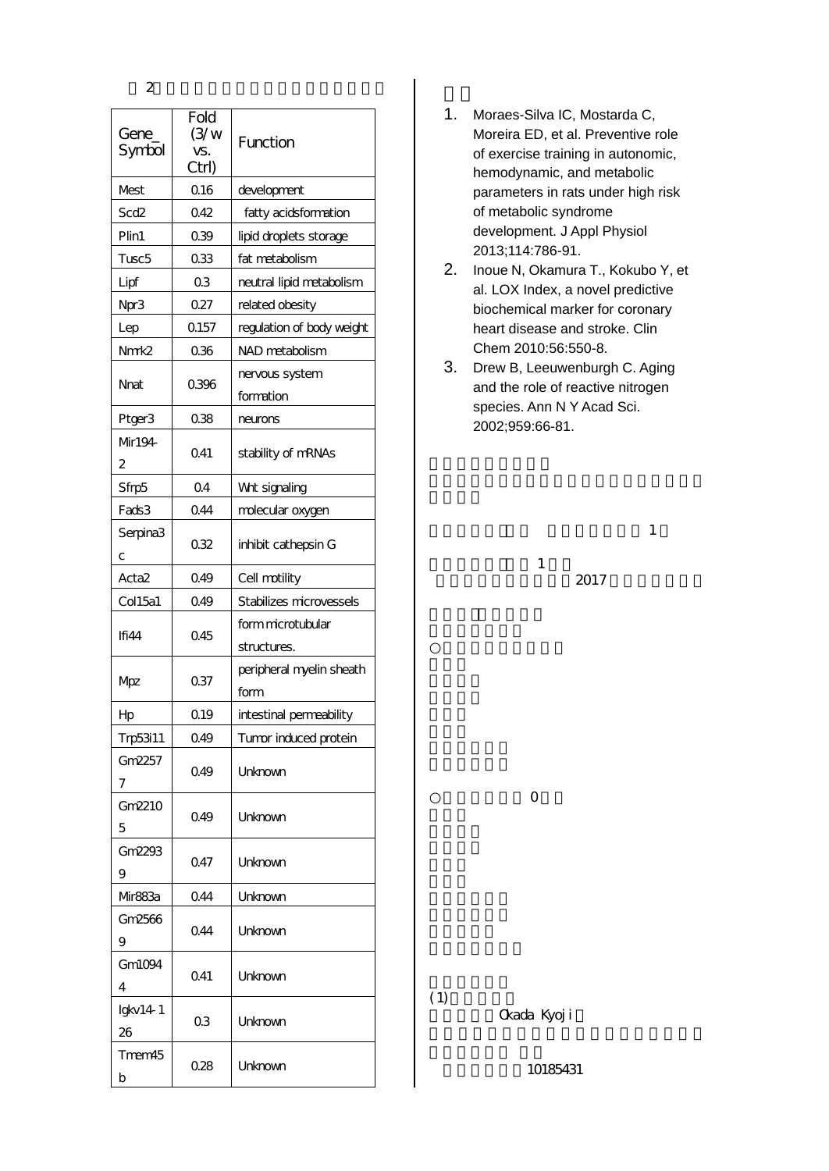| Gene<br>Symbol            | Fold<br>(3/w)<br>VS.<br>Ctrl) | Function                    |  |  |
|---------------------------|-------------------------------|-----------------------------|--|--|
| Mest                      | 016                           | development                 |  |  |
| Scd <sub>2</sub>          | 042                           | fatty acidsformation        |  |  |
| Plin1                     | 039                           | lipid droplets storage      |  |  |
| Tusc <sub>5</sub>         | 033                           | fat metabolism              |  |  |
| Lipf                      | 0 <sub>3</sub>                | neutral lipid metabolism    |  |  |
| Npr3                      | 027                           | related obesity             |  |  |
| Lep                       | 0.157                         | regulation of body weight   |  |  |
| Nmk <sub>2</sub>          | 0.36                          | NAD metabolism              |  |  |
| Nnat                      | 0396                          | nervous system<br>formation |  |  |
| Ptger3                    | 038                           | neurons                     |  |  |
| Mr194<br>2                | 041                           | stability of mRNAs          |  |  |
| Sfrp5                     | 0 <sub>4</sub>                | Wrt signaling               |  |  |
| Fads3                     | 044                           | molecular oxygen            |  |  |
| Serpina <sub>3</sub><br>с | 032                           | inhibit cathepsin G         |  |  |
| Acta <sub>2</sub>         | 049                           | Cell motility               |  |  |
| Col15a1                   | 049                           | Stabilizes microvessels     |  |  |
| 045<br>Ifi44              |                               | form microtubular           |  |  |
|                           |                               | structures.                 |  |  |
|                           |                               | peripheral myelin sheath    |  |  |
| Mpz                       | 037                           | form                        |  |  |
| Hр                        | Q <sub>19</sub>               | intestinal permeability     |  |  |
| Trp53i11                  | 049                           | Tumor induced protein       |  |  |
| Gm2257<br>7               | 049                           | Unknown                     |  |  |
| Gm2210<br>5               | 049                           | Unknown                     |  |  |
| Gm2293<br>9               | 047                           | Unknown                     |  |  |
| Mir883a                   | 044                           | Unknown                     |  |  |
| Gm2566                    |                               |                             |  |  |
| 9                         | 044                           | Unknown                     |  |  |
| Gm1094                    |                               |                             |  |  |
| $\overline{4}$            | 041                           | Unknown                     |  |  |
| $Igkv14-1$<br>26          | 03                            | Unknown                     |  |  |
| Tmem45<br>b               | 028                           | Unknown                     |  |  |

2

- 1. Moraes-Silva IC, Mostarda C, Moreira ED, et al. Preventive role of exercise training in autonomic, hemodynamic, and metabolic parameters in rats under high risk of metabolic syndrome development. J Appl Physiol 2013;114:786-91.
- 2. Inoue N, Okamura T., Kokubo Y, et al. LOX Index, a novel predictive biochemical marker for coronary heart disease and stroke. Clin Chem 2010:56:550-8.
- 3. Drew B, Leeuwenburgh C. Aging and the role of reactive nitrogen species. Ann N Y Acad Sci. 2002;959:66-81.

1

2017

1

0

(1)

Okada Kyoji

10185431